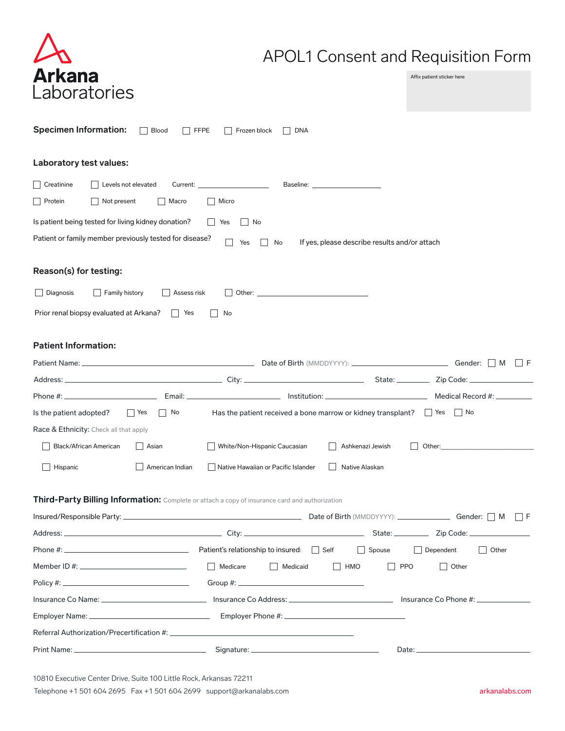| <b>Arkana</b> |
|---------------|
| Laboratories  |

# APOL1 Consent and Requisition Form

Affix patient sticker here

| L'aboratories                                                                                  |                     |                                             |                                                                                                                                                                                                                                |                                               |                  |                  |                                                                                                                                                                                                                                |  |
|------------------------------------------------------------------------------------------------|---------------------|---------------------------------------------|--------------------------------------------------------------------------------------------------------------------------------------------------------------------------------------------------------------------------------|-----------------------------------------------|------------------|------------------|--------------------------------------------------------------------------------------------------------------------------------------------------------------------------------------------------------------------------------|--|
| <b>Specimen Information:</b>                                                                   | Blood               | <b>FFPE</b><br>Frozen block                 | DNA                                                                                                                                                                                                                            |                                               |                  |                  |                                                                                                                                                                                                                                |  |
| Laboratory test values:                                                                        |                     |                                             |                                                                                                                                                                                                                                |                                               |                  |                  |                                                                                                                                                                                                                                |  |
| $\Box$ Creatinine                                                                              | Levels not elevated | $\begin{tabular}{c} Current: \end{tabular}$ |                                                                                                                                                                                                                                | Baseline: <u>_____________________</u>        |                  |                  |                                                                                                                                                                                                                                |  |
| <b>Protein</b><br>Not present                                                                  | Macro               | Micro                                       |                                                                                                                                                                                                                                |                                               |                  |                  |                                                                                                                                                                                                                                |  |
| Is patient being tested for living kidney donation?                                            |                     | Yes                                         | No                                                                                                                                                                                                                             |                                               |                  |                  |                                                                                                                                                                                                                                |  |
| Patient or family member previously tested for disease?                                        |                     | Yes                                         | No                                                                                                                                                                                                                             | If yes, please describe results and/or attach |                  |                  |                                                                                                                                                                                                                                |  |
| Reason(s) for testing:                                                                         |                     |                                             |                                                                                                                                                                                                                                |                                               |                  |                  |                                                                                                                                                                                                                                |  |
| Diagnosis<br>Family history                                                                    | Assess risk         |                                             | Other: when the contract of the contract of the contract of the contract of the contract of the contract of the contract of the contract of the contract of the contract of the contract of the contract of the contract of th |                                               |                  |                  |                                                                                                                                                                                                                                |  |
| Prior renal biopsy evaluated at Arkana?                                                        | Yes<br>$\mathbf{L}$ | No                                          |                                                                                                                                                                                                                                |                                               |                  |                  |                                                                                                                                                                                                                                |  |
|                                                                                                |                     |                                             |                                                                                                                                                                                                                                |                                               |                  |                  |                                                                                                                                                                                                                                |  |
| <b>Patient Information:</b>                                                                    |                     |                                             |                                                                                                                                                                                                                                |                                               |                  |                  |                                                                                                                                                                                                                                |  |
|                                                                                                |                     |                                             |                                                                                                                                                                                                                                |                                               |                  |                  |                                                                                                                                                                                                                                |  |
|                                                                                                |                     |                                             |                                                                                                                                                                                                                                |                                               |                  |                  |                                                                                                                                                                                                                                |  |
|                                                                                                |                     |                                             |                                                                                                                                                                                                                                |                                               |                  |                  |                                                                                                                                                                                                                                |  |
| Is the patient adopted?                                                                        | No<br>  Yes         |                                             | Has the patient received a bone marrow or kidney transplant? $\Box$ Yes                                                                                                                                                        |                                               |                  |                  | $\vert$   No                                                                                                                                                                                                                   |  |
| Race & Ethnicity: Check all that apply                                                         |                     |                                             |                                                                                                                                                                                                                                |                                               |                  |                  |                                                                                                                                                                                                                                |  |
| Black/African American                                                                         | Asian               |                                             | White/Non-Hispanic Caucasian                                                                                                                                                                                                   |                                               | Ashkenazi Jewish |                  | Other: when the contract of the contract of the contract of the contract of the contract of the contract of the contract of the contract of the contract of the contract of the contract of the contract of the contract of th |  |
| Hispanic                                                                                       | American Indian     |                                             | Native Hawaiian or Pacific Islander                                                                                                                                                                                            |                                               | Native Alaskan   |                  |                                                                                                                                                                                                                                |  |
|                                                                                                |                     |                                             |                                                                                                                                                                                                                                |                                               |                  |                  |                                                                                                                                                                                                                                |  |
| Third-Party Billing Information: Complete or attach a copy of insurance card and authorization |                     |                                             |                                                                                                                                                                                                                                |                                               |                  |                  |                                                                                                                                                                                                                                |  |
|                                                                                                |                     |                                             |                                                                                                                                                                                                                                |                                               |                  |                  |                                                                                                                                                                                                                                |  |
|                                                                                                |                     |                                             |                                                                                                                                                                                                                                |                                               |                  |                  |                                                                                                                                                                                                                                |  |
|                                                                                                |                     |                                             |                                                                                                                                                                                                                                |                                               | Spouse           | $\Box$ Dependent | $\Box$ Other                                                                                                                                                                                                                   |  |
|                                                                                                |                     | $\Box$ Medicare                             | Medicaid                                                                                                                                                                                                                       | $\Box$ HMO                                    | $\Box$ PPO       |                  | $\Box$ Other                                                                                                                                                                                                                   |  |
|                                                                                                |                     |                                             |                                                                                                                                                                                                                                |                                               |                  |                  |                                                                                                                                                                                                                                |  |
|                                                                                                |                     |                                             |                                                                                                                                                                                                                                |                                               |                  |                  |                                                                                                                                                                                                                                |  |
|                                                                                                |                     |                                             |                                                                                                                                                                                                                                |                                               |                  |                  |                                                                                                                                                                                                                                |  |
|                                                                                                |                     |                                             |                                                                                                                                                                                                                                |                                               |                  |                  |                                                                                                                                                                                                                                |  |
|                                                                                                |                     |                                             |                                                                                                                                                                                                                                |                                               |                  |                  |                                                                                                                                                                                                                                |  |
|                                                                                                |                     |                                             |                                                                                                                                                                                                                                |                                               |                  |                  |                                                                                                                                                                                                                                |  |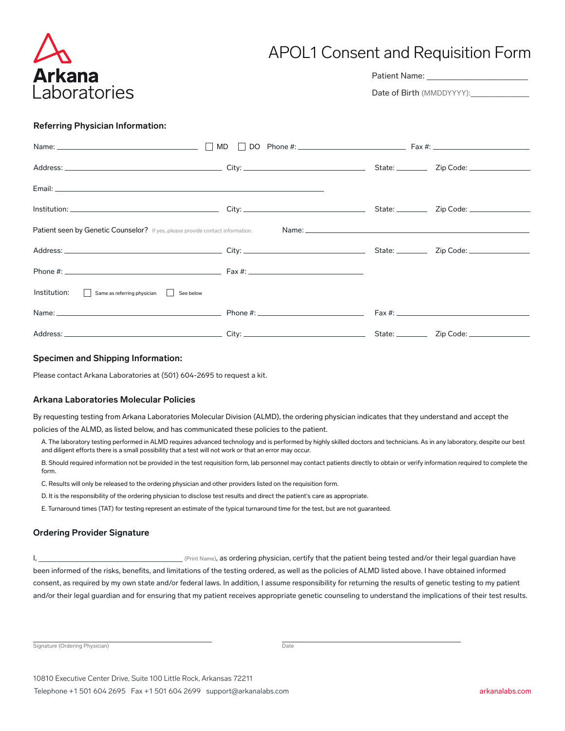

# APOL1 Consent and Requisition Form

Patient Name: \_\_\_\_\_\_\_\_\_

Date of Birth (MMDDYYYY):

## **Referring Physician Information:**

| Name: $\Box$ MD                                                                       |  |  |  |  |  |  |
|---------------------------------------------------------------------------------------|--|--|--|--|--|--|
|                                                                                       |  |  |  |  |  |  |
|                                                                                       |  |  |  |  |  |  |
|                                                                                       |  |  |  |  |  |  |
| <b>Patient seen by Genetic Counselor?</b> If yes, please provide contact information. |  |  |  |  |  |  |
|                                                                                       |  |  |  |  |  |  |
|                                                                                       |  |  |  |  |  |  |
| Institution: Same as referring physician See below                                    |  |  |  |  |  |  |
|                                                                                       |  |  |  |  |  |  |
|                                                                                       |  |  |  |  |  |  |

### **Specimen and Shipping Information:**

Please contact Arkana Laboratories at (501) 604-2695 to request a kit.

### **Arkana Laboratories Molecular Policies**

By requesting testing from Arkana Laboratories Molecular Division (ALMD), the ordering physician indicates that they understand and accept the

policies of the ALMD, as listed below, and has communicated these policies to the patient.

- A. The laboratory testing performed in ALMD requires advanced technology and is performed by highly skilled doctors and technicians. As in any laboratory, despite our best and diligent efforts there is a small possibility that a test will not work or that an error may occur.
- B. Should required information not be provided in the test requisition form, lab personnel may contact patients directly to obtain or verify information required to complete the form.
- C. Results will only be released to the ordering physician and other providers listed on the requisition form.
- D. It is the responsibility of the ordering physician to disclose test results and direct the patient's care as appropriate.
- E. Turnaround times (TAT) for testing represent an estimate of the typical turnaround time for the test, but are not guaranteed.

## **Ordering Provider Signature**

 $I$ ,  $I$ ,  $I$  as ordering physician, certify that the patient being tested and/or their legal guardian have been informed of the risks, benefits, and limitations of the testing ordered, as well as the policies of ALMD listed above. I have obtained informed consent, as required by my own state and/or federal laws. In addition, I assume responsibility for returning the results of genetic testing to my patient and/or their legal guardian and for ensuring that my patient receives appropriate genetic counseling to understand the implications of their test results.

Signature (Ordering Physician) Date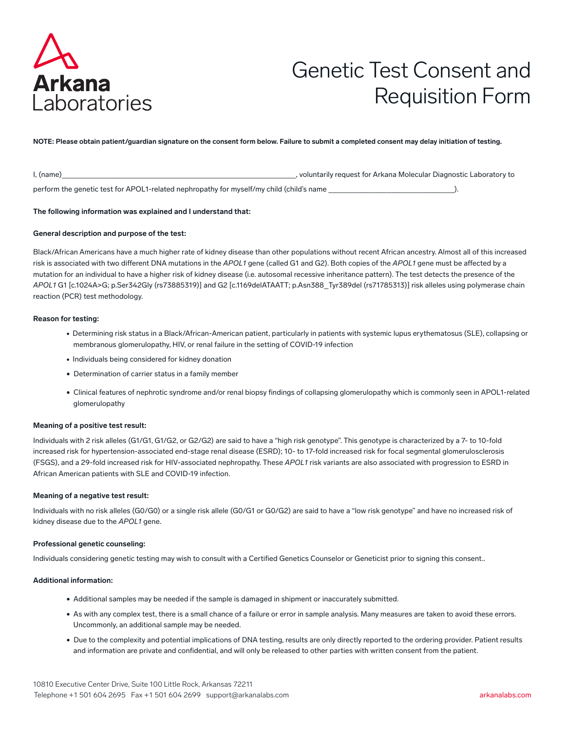

# Genetic Test Consent and Requisition Form

**NOTE: Please obtain patient/guardian signature on the consent form below. Failure to submit a completed consent may delay initiation of testing.**

| $l$ , (name)                                                                             | , voluntarily request for Arkana Molecular Diagnostic Laboratory to |  |
|------------------------------------------------------------------------------------------|---------------------------------------------------------------------|--|
| perform the genetic test for APOL1-related nephropathy for myself/my child (child's name |                                                                     |  |

#### **The following information was explained and I understand that:**

#### **General description and purpose of the test:**

Black/African Americans have a much higher rate of kidney disease than other populations without recent African ancestry. Almost all of this increased risk is associated with two different DNA mutations in the *APOL1* gene (called G1 and G2). Both copies of the *APOL1* gene must be affected by a mutation for an individual to have a higher risk of kidney disease (i.e. autosomal recessive inheritance pattern). The test detects the presence of the *APOL1* G1 [c.1024A>G; p.Ser342Gly (rs73885319)] and G2 [c.1169delATAATT; p.Asn388\_Tyr389del (rs71785313)] risk alleles using polymerase chain reaction (PCR) test methodology.

#### **Reason for testing:**

- Determining risk status in a Black/African-American patient, particularly in patients with systemic lupus erythematosus (SLE), collapsing or membranous glomerulopathy, HIV, or renal failure in the setting of COVID-19 infection
- Individuals being considered for kidney donation
- Determination of carrier status in a family member
- Clinical features of nephrotic syndrome and/or renal biopsy findings of collapsing glomerulopathy which is commonly seen in APOL1-related glomerulopathy

#### **Meaning of a positive test result:**

Individuals with 2 risk alleles (G1/G1, G1/G2, or G2/G2) are said to have a "high risk genotype". This genotype is characterized by a 7- to 10-fold increased risk for hypertension-associated end-stage renal disease (ESRD); 10- to 17-fold increased risk for focal segmental glomerulosclerosis (FSGS), and a 29-fold increased risk for HIV-associated nephropathy. These *APOL1* risk variants are also associated with progression to ESRD in African American patients with SLE and COVID-19 infection.

#### **Meaning of a negative test result:**

Individuals with no risk alleles (G0/G0) or a single risk allele (G0/G1 or G0/G2) are said to have a "low risk genotype" and have no increased risk of kidney disease due to the *APOL1* gene.

#### **Professional genetic counseling:**

Individuals considering genetic testing may wish to consult with a Certified Genetics Counselor or Geneticist prior to signing this consent..

#### **Additional information:**

- Additional samples may be needed if the sample is damaged in shipment or inaccurately submitted.
- As with any complex test, there is a small chance of a failure or error in sample analysis. Many measures are taken to avoid these errors. Uncommonly, an additional sample may be needed.
- Due to the complexity and potential implications of DNA testing, results are only directly reported to the ordering provider. Patient results and information are private and confidential, and will only be released to other parties with written consent from the patient.